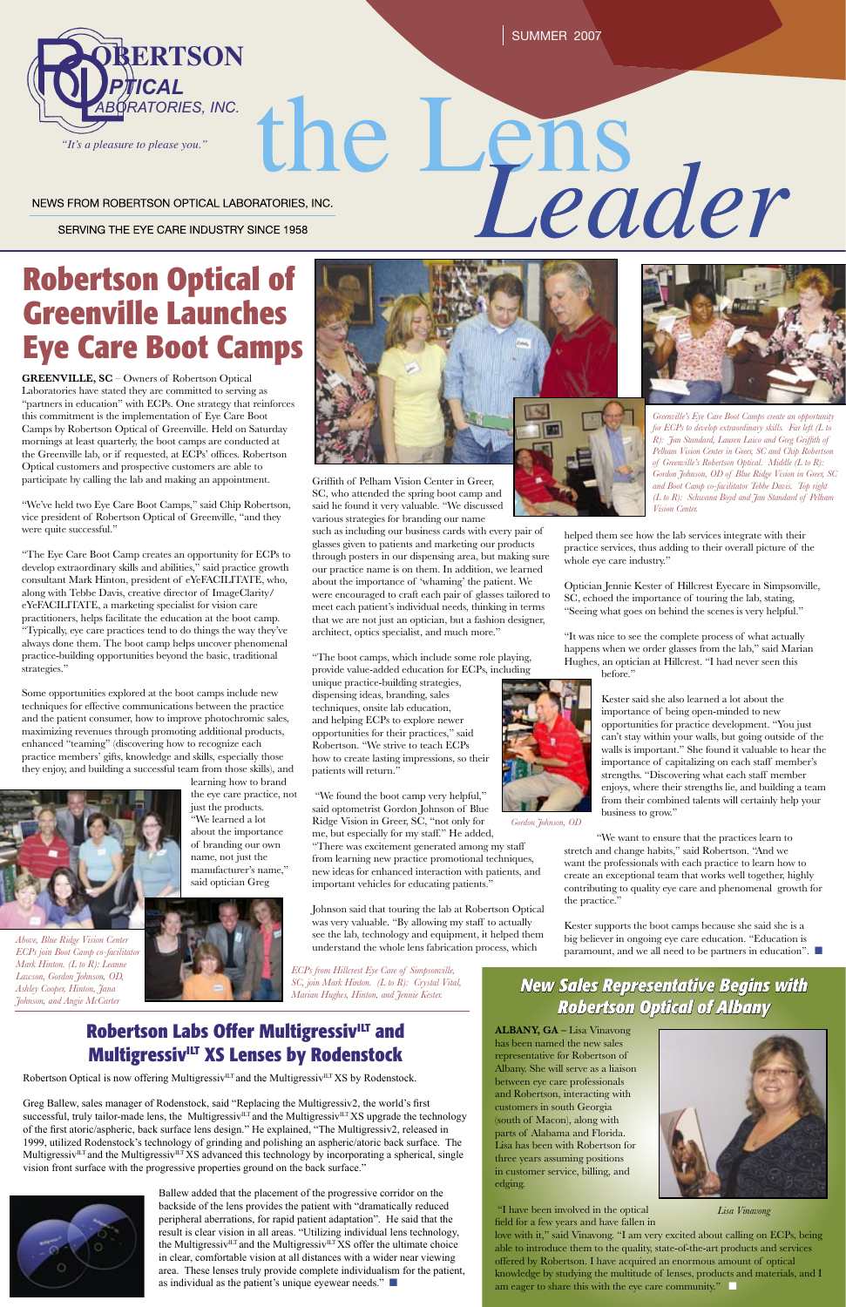SUMMER 2007

NEWS FROM ROBERTSON OPTICAL LABORATORIES, INC.

SERVING THE EYE CARE INDUSTRY SINCE 1958

# **Greenville Launches Eye Care Boot Camps**

**GREENVILLE, SC** – Owners of Robertson Optical Laboratories have stated they are committed to serving as "partners in education" with ECPs. One strategy that reinforces this commitment is the implementation of Eye Care Boot Camps by Robertson Optical of Greenville. Held on Saturday mornings at least quarterly, the boot camps are conducted at the Greenville lab, or if requested, at ECPs' offices. Robertson Optical customers and prospective customers are able to participate by calling the lab and making an appointment.

"We've held two Eye Care Boot Camps," said Chip Robertson, vice president of Robertson Optical of Greenville, "and they were quite successful."

"The Eye Care Boot Camp creates an opportunity for ECPs to develop extraordinary skills and abilities," said practice growth consultant Mark Hinton, president of eYeFACILITATE, who, along with Tebbe Davis, creative director of ImageClarity/ eYeFACILITATE, a marketing specialist for vision care practitioners, helps facilitate the education at the boot camp. "Typically, eye care practices tend to do things the way they've always done them. The boot camp helps uncover phenomenal practice-building opportunities beyond the basic, traditional strategies."

> love with it," said Vinavong. "I am very excited about calling on ECPs, being able to introduce them to the quality, state-of-the-art products and services offered by Robertson. I have acquired an enormous amount of optical knowledge by studying the multitude of lenses, products and materials, and I am eager to share this with the eye care community."

Some opportunities explored at the boot camps include new techniques for effective communications between the practice and the patient consumer, how to improve photochromic sales, maximizing revenues through promoting additional products, enhanced "teaming" (discovering how to recognize each practice members' gifts, knowledge and skills, especially those they enjoy, and building a successful team from those skills), and

learning how to brand





the eye care practice, not just the products. "We learned a lot about the importance of branding our own name, not just the manufacturer's name," said optician Greg



# ROBERATORIES, INC.<br>
THE APPROM ROBERTSON OPTICAL LABORATORIES, INC.<br>
SERVING THE EYE CARE INDUSTRY SINCE 1958<br>
RO**bertson Optical of <u>New York Since</u>**

### *New Sales Representative Begins with Robertson Optical of Albany*

**ALBANY, GA –** Lisa Vinavong has been named the new sales representative for Robertson of Albany. She will serve as a liaison between eye care professionals and Robertson, interacting with customers in south Georgia (south of Macon), along with parts of Alabama and Florida. Lisa has been with Robertson for three years assuming positions in customer service, billing, and edging.

"There was excitement generated among my staff from learning new practice promotional techniques, new ideas for enhanced interaction with patients, and important vehicles for educating patients."

> "I have been involved in the optical field for a few years and have fallen in



*Lisa Vinavong*



*Greenville's Eye Care Boot Camps create an opportunity for ECPs to develop extraordinary skills. Far left (L to R): Jan Standard, Lauren Laico and Greg Griffith of Pelham Vision Center in Greer, SC and Chip Robertson of Greenville's Robertson Optical. Middle (L to R): Gordon Johnson, OD of Blue Ridge Vision in Greer, SC and Boot Camp co-facilitator Tebbe Davis. Top right (L to R): Schwana Boyd and Jan Standard of Pelham Vision Center.*

Griffith of Pelham Vision Center in Greer, SC, who attended the spring boot camp and said he found it very valuable. "We discussed various strategies for branding our name

Ballew added that the placement of the progressive corridor on the backside of the lens provides the patient with "dramatically reduced peripheral aberrations, for rapid patient adaptation". He said that the result is clear vision in all areas. "Utilizing individual lens technology, the Multigressiv<sup>ILT</sup> and the Multigressiv<sup>ILT</sup> XS offer the ultimate choice in clear, comfortable vision at all distances with a wider near viewing area. These lenses truly provide complete individualism for the patient, as individual as the patient's unique eyewear needs."  $\Box$ 

such as including our business cards with every pair of glasses given to patients and marketing our products through posters in our dispensing area, but making sure our practice name is on them. In addition, we learned about the importance of 'whaming' the patient. We were encouraged to craft each pair of glasses tailored to meet each patient's individual needs, thinking in terms that we are not just an optician, but a fashion designer, architect, optics specialist, and much more."

"The boot camps, which include some role playing, provide value-added education for ECPs, including unique practice-building strategies, dispensing ideas, branding, sales techniques, onsite lab education, and helping ECPs to explore newer opportunities for their practices," said Robertson. "We strive to teach ECPs how to create lasting impressions, so their patients will return."

 "We found the boot camp very helpful," said optometrist Gordon Johnson of Blue Ridge Vision in Greer, SC, "not only for me, but especially for my staff." He added,

Johnson said that touring the lab at Robertson Optical was very valuable. "By allowing my staff to actually see the lab, technology and equipment, it helped them understand the whole lens fabrication process, which

helped them see how the lab services integrate with their practice services, thus adding to their overall picture of the whole eye care industry."

Optician Jennie Kester of Hillcrest Eyecare in Simpsonville, SC, echoed the importance of touring the lab, stating, "Seeing what goes on behind the scenes is very helpful."

"It was nice to see the complete process of what actually happens when we order glasses from the lab," said Marian Hughes, an optician at Hillcrest. "I had never seen this before."

> Kester said she also learned a lot about the importance of being open-minded to new opportunities for practice development. "You just can't stay within your walls, but going outside of the walls is important." She found it valuable to hear the importance of capitalizing on each staff member's strengths. "Discovering what each staff member enjoys, where their strengths lie, and building a team from their combined talents will certainly help your business to grow."

"We want to ensure that the practices learn to stretch and change habits," said Robertson. "And we want the professionals with each practice to learn how to create an exceptional team that works well together, highly contributing to quality eye care and phenomenal growth for the practice."

Kester supports the boot camps because she said she is a big believer in ongoing eye care education. "Education is paramount, and we all need to be partners in education". ■

Greg Ballew, sales manager of Rodenstock, said "Replacing the Multigressiv2, the world's first successful, truly tailor-made lens, the Multigressiv<sup>ILT</sup> and the Multigressiv<sup>ILT</sup> XS upgrade the technology of the first atoric/aspheric, back surface lens design." He explained, "The Multigressiv2, released in 1999, utilized Rodenstock's technology of grinding and polishing an aspheric/atoric back surface. The Multigressiv<sup>ILT</sup> and the Multigressiv<sup>ILT</sup> XS advanced this technology by incorporating a spherical, single vision front surface with the progressive properties ground on the back surface."





*Above, Blue Ridge Vision Center ECPs join Boot Camp co-facilitator* 

*Mark Hinton. (L to R): Leanne Lawson, Gordon Johnson, OD, Ashley Cooper, Hinton, Jana Johnson, and Angie McCarter*





*Gordon Johnson, OD*

*ECPs from Hillcrest Eye Care of Simpsonville, SC, join Mark Hinton. (L to R): Crystal Vital, Marian Hughes, Hinton, and Jennie Kester.*

## **Robertson Labs Offer Multigressiv<sup>ILT</sup> and Multigressiv<sup>ILT</sup> XS Lenses by Rodenstock**

Robertson Optical is now offering Multigressiv<sup>ILT</sup> and the Multigressiv<sup>ILT</sup> XS by Rodenstock.